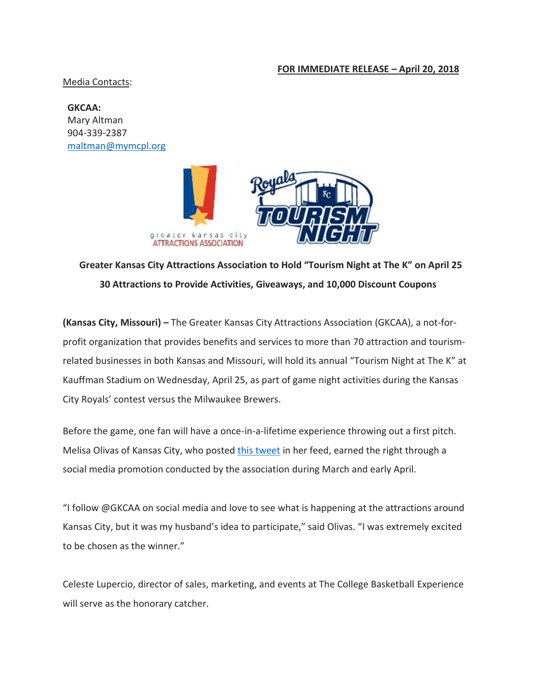## **FOR IMMEDIATE RELEASE – April 20, 2018**

Media Contacts:

**GKCAA:**  Mary Altman 904-339-2387 [maltman@mymcpl.org](mailto:maltman@mymcpl.org)



## **Greater Kansas City Attractions Association to Hold "Tourism Night at The K" on April 25 30 Attractions to Provide Activities, Giveaways, and 10,000 Discount Coupons**

**(Kansas City, Missouri) –** The Greater Kansas City Attractions Association (GKCAA), a not-forprofit organization that provides benefits and services to more than 70 attraction and tourismrelated businesses in both Kansas and Missouri, will hold its annual "Tourism Night at The K" at Kauffman Stadium on Wednesday, April 25, as part of game night activities during the Kansas City Royals' contest versus the Milwaukee Brewers.

Before the game, one fan will have a once-in-a-lifetime experience throwing out a first pitch. Melisa Olivas of Kansas City, who posted [this tweet](https://twitter.com/Melyoli/status/981945439313367040) in her feed, earned the right through a social media promotion conducted by the association during March and early April.

"I follow @GKCAA on social media and love to see what is happening at the attractions around Kansas City, but it was my husband's idea to participate," said Olivas. "I was extremely excited to be chosen as the winner."

Celeste Lupercio, director of sales, marketing, and events at The College Basketball Experience will serve as the honorary catcher.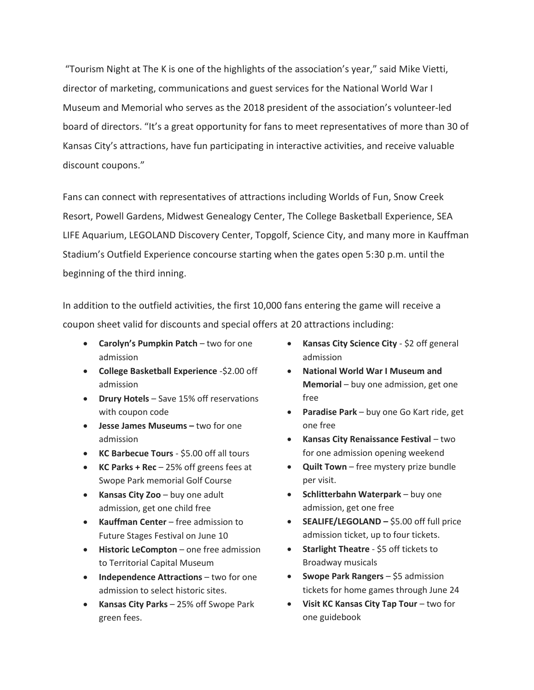"Tourism Night at The K is one of the highlights of the association's year," said Mike Vietti, director of marketing, communications and guest services for the National World War I Museum and Memorial who serves as the 2018 president of the association's volunteer-led board of directors. "It's a great opportunity for fans to meet representatives of more than 30 of Kansas City's attractions, have fun participating in interactive activities, and receive valuable discount coupons."

Fans can connect with representatives of attractions including Worlds of Fun, Snow Creek Resort, Powell Gardens, Midwest Genealogy Center, The College Basketball Experience, SEA LIFE Aquarium, LEGOLAND Discovery Center, Topgolf, Science City, and many more in Kauffman Stadium's Outfield Experience concourse starting when the gates open 5:30 p.m. until the beginning of the third inning.

In addition to the outfield activities, the first 10,000 fans entering the game will receive a coupon sheet valid for discounts and special offers at 20 attractions including:

- **Carolyn's Pumpkin Patch** two for one admission
- **College Basketball Experience** -\$2.00 off admission
- **Drury Hotels** Save 15% off reservations with coupon code
- **Jesse James Museums –** two for one admission
- **KC Barbecue Tours** \$5.00 off all tours
- **KC Parks + Rec** 25% off greens fees at Swope Park memorial Golf Course
- **Kansas City Zoo** buy one adult admission, get one child free
- **Kauffman Center** free admission to Future Stages Festival on June 10
- **Historic LeCompton** one free admission to Territorial Capital Museum
- **Independence Attractions** two for one admission to select historic sites.
- **Kansas City Parks**  25% off Swope Park green fees.
- **•** Kansas City Science City \$2 off general admission
- **National World War I Museum and Memorial** – buy one admission, get one free
- **Paradise Park** buy one Go Kart ride, get one free
- **Kansas City Renaissance Festival** two for one admission opening weekend
- **Quilt Town** free mystery prize bundle per visit.
- **•** Schlitterbahn Waterpark buy one admission, get one free
- **SEALIFE/LEGOLAND** \$5.00 off full price admission ticket, up to four tickets.
- **Starlight Theatre** \$5 off tickets to Broadway musicals
- **Swope Park Rangers** \$5 admission tickets for home games through June 24
- **Visit KC Kansas City Tap Tour**  two for one guidebook